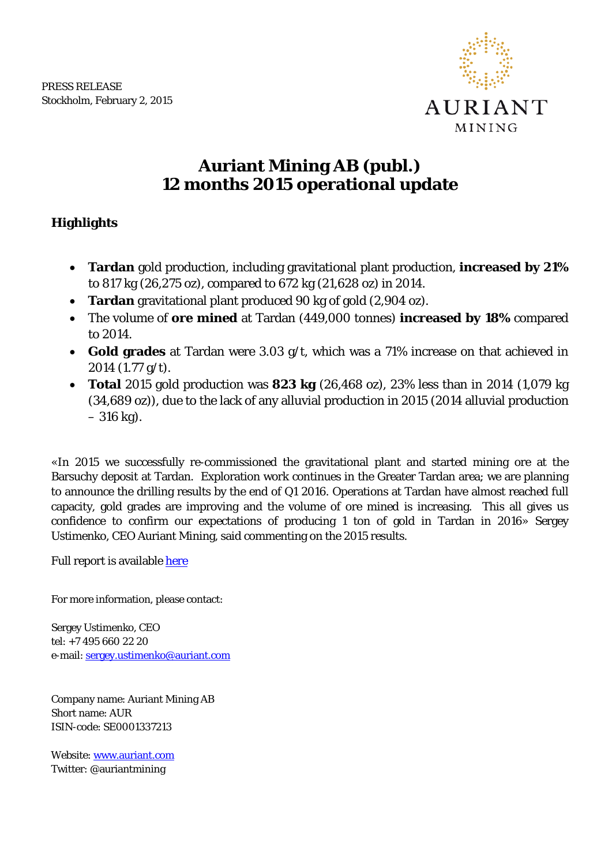

## **Auriant Mining AB (publ.) 12 months 2015 operational update**

## **Highlights**

- **Tardan** gold production, including gravitational plant production, **increased by 21%** to 817 kg (26,275 oz), compared to 672 kg (21,628 oz) in 2014.
- **Tardan** gravitational plant produced 90 kg of gold (2,904 oz).
- The volume of **ore mined** at Tardan (449,000 tonnes) **increased by 18%** compared to 2014.
- **Gold grades** at Tardan were 3.03 g/t, which was a 71% increase on that achieved in 2014 (1.77 g/t).
- **Total** 2015 gold production was **823 kg** (26,468 oz), 23% less than in 2014 (1,079 kg (34,689 oz)), due to the lack of any alluvial production in 2015 (2014 alluvial production  $-316$  kg).

«In 2015 we successfully re-commissioned the gravitational plant and started mining ore at the Barsuchy deposit at Tardan. Exploration work continues in the Greater Tardan area; we are planning to announce the drilling results by the end of Q1 2016. Operations at Tardan have almost reached full capacity, gold grades are improving and the volume of ore mined is increasing. This all gives us confidence to confirm our expectations of producing 1 ton of gold in Tardan in 2016» Sergey Ustimenko, CEO Auriant Mining, said commenting on the 2015 results.

Full report is available [here](http://www.auriant.com/eng/reports-and-releases/2015)

For more information, please contact:

Sergey Ustimenko, CEO tel: +7 495 660 22 20 e-mail: [sergey.ustimenko@auriant.com](mailto:sergey.ustimenko@auriant.com)

Company name: Auriant Mining AB Short name: AUR ISIN-code: SE0001337213

Website: [www.auriant.com](http://www.auriant.com/) Twitter: @auriantmining